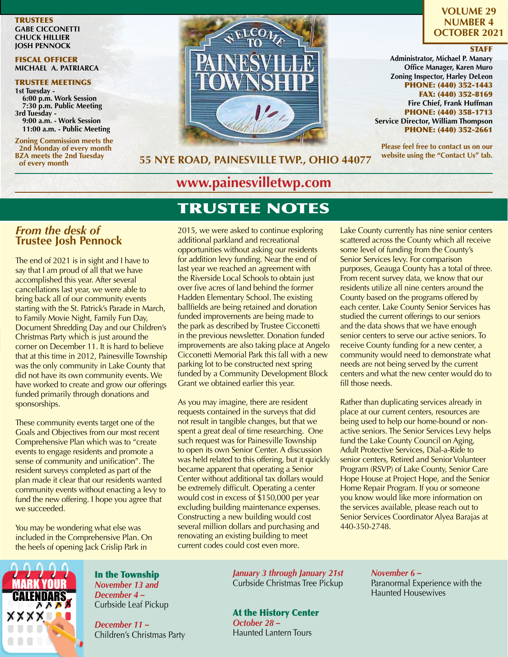**TRUSTEES GABE CICCONETTI CHUCK HILLIER JOSH PENNOCK**

#### FISCAL OFFICER **MICHAEL A. PATRIARCA**

# TRUSTEE MEETINGS

**1st Tuesday - 6:00 p.m. Work Session 7:30 p.m. Public Meeting 3rd Tuesday - 9:00 a.m. - Work Session 11:00 a.m. - Public Meeting**

**Zoning Commission meets the 2nd Monday of every month BZA meets the 2nd Tuesday of every month**



**VOLUME 29 NUMBER 4 OCTOBER 2021**

#### **STAFF**

**Administrator, Michael P. Manary Office Manager, Karen Muro Zoning Inspector, Harley DeLeon** PHONE: (440) 352-1443 FAX: (440) 352-8169 **Fire Chief, Frank Huffman** PHONE: (440) 358-1713 **Service Director, William Thompson** PHONE: (440) 352-2661

**Please feel free to contact us on our website using the "Contact Us" tab.**

#### **55 NYE ROAD, PAINESVILLE TWP., OHIO 44077**

# **www.painesvilletwp.com**

# TRUSTEE NOTES

*From the desk of*  **Trustee Josh Pennock**

The end of 2021 is in sight and I have to say that I am proud of all that we have accomplished this year. After several cancellations last year, we were able to bring back all of our community events starting with the St. Patrick's Parade in March, to Family Movie Night, Family Fun Day, Document Shredding Day and our Children's Christmas Party which is just around the corner on December 11. It is hard to believe that at this time in 2012, Painesville Township was the only community in Lake County that did not have its own community events. We have worked to create and grow our offerings funded primarily through donations and sponsorships.

These community events target one of the Goals and Objectives from our most recent Comprehensive Plan which was to "create events to engage residents and promote a sense of community and unification". The resident surveys completed as part of the plan made it clear that our residents wanted community events without enacting a levy to fund the new offering. I hope you agree that we succeeded.

You may be wondering what else was included in the Comprehensive Plan. On the heels of opening Jack Crislip Park in

2015, we were asked to continue exploring additional parkland and recreational opportunities without asking our residents for addition levy funding. Near the end of last year we reached an agreement with the Riverside Local Schools to obtain just over five acres of land behind the former Hadden Elementary School. The existing ballfields are being retained and donation funded improvements are being made to the park as described by Trustee Cicconetti in the previous newsletter. Donation funded improvements are also taking place at Angelo Cicconetti Memorial Park this fall with a new parking lot to be constructed next spring funded by a Community Development Block Grant we obtained earlier this year.

As you may imagine, there are resident requests contained in the surveys that did not result in tangible changes, but that we spent a great deal of time researching. One such request was for Painesville Township to open its own Senior Center. A discussion was held related to this offering, but it quickly became apparent that operating a Senior Center without additional tax dollars would be extremely difficult. Operating a center would cost in excess of \$150,000 per year excluding building maintenance expenses. Constructing a new building would cost several million dollars and purchasing and renovating an existing building to meet current codes could cost even more.

Lake County currently has nine senior centers scattered across the County which all receive some level of funding from the County's Senior Services levy. For comparison purposes, Geauga County has a total of three. From recent survey data, we know that our residents utilize all nine centers around the County based on the programs offered by each center. Lake County Senior Services has studied the current offerings to our seniors and the data shows that we have enough senior centers to serve our active seniors. To receive County funding for a new center, a community would need to demonstrate what needs are not being served by the current centers and what the new center would do to fill those needs.

Rather than duplicating services already in place at our current centers, resources are being used to help our home-bound or nonactive seniors. The Senior Services Levy helps fund the Lake County Council on Aging, Adult Protective Services, Dial-a-Ride to senior centers, Retired and Senior Volunteer Program (RSVP) of Lake County, Senior Care Hope House at Project Hope, and the Senior Home Repair Program. If you or someone you know would like more information on the services available, please reach out to Senior Services Coordinator Alyea Barajas at 440-350-2748.



In the Township *November 13 and December 4 –* Curbside Leaf Pickup

*December 11 –*  Children's Christmas Party *January 3 through January 21st* Curbside Christmas Tree Pickup

At the History Center *October 28 –*  Haunted Lantern Tours

*November 6 –*  Paranormal Experience with the Haunted Housewives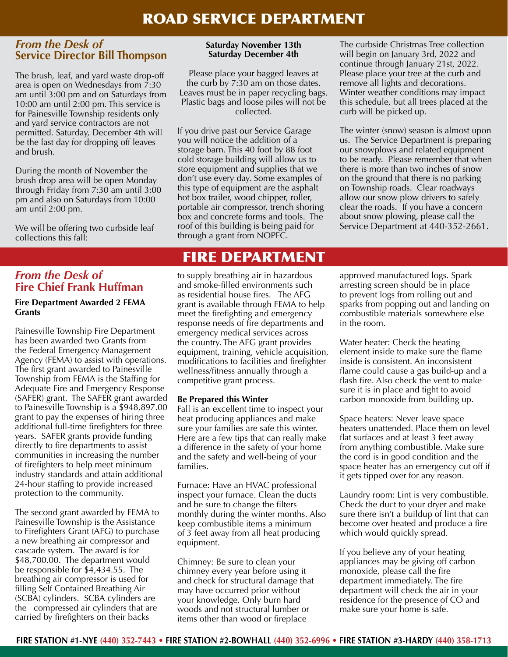## ROAD SERVICE DEPARTMENT

#### *From the Desk of*  **Service Director Bill Thompson**

The brush, leaf, and yard waste drop-off area is open on Wednesdays from 7:30 am until 3:00 pm and on Saturdays from 10:00 am until 2:00 pm. This service is for Painesville Township residents only and yard service contractors are not permitted. Saturday, December 4th will be the last day for dropping off leaves and brush.

During the month of November the brush drop area will be open Monday through Friday from 7:30 am until 3:00 pm and also on Saturdays from 10:00 am until 2:00 pm.

We will be offering two curbside leaf collections this fall:

#### **Saturday November 13th Saturday December 4th**

Please place your bagged leaves at the curb by 7:30 am on those dates. Leaves must be in paper recycling bags. Plastic bags and loose piles will not be collected.

If you drive past our Service Garage you will notice the addition of a storage barn. This 40 foot by 88 foot cold storage building will allow us to store equipment and supplies that we don't use every day. Some examples of this type of equipment are the asphalt hot box trailer, wood chipper, roller, portable air compressor, trench shoring box and concrete forms and tools. The roof of this building is being paid for through a grant from NOPEC.

# FIRE DEPARTMENT

#### *From the Desk of*  **Fire Chief Frank Huffman**

#### **Fire Department Awarded 2 FEMA Grants**

Painesville Township Fire Department has been awarded two Grants from the Federal Emergency Management Agency (FEMA) to assist with operations. The first grant awarded to Painesville Township from FEMA is the Staffing for Adequate Fire and Emergency Response (SAFER) grant. The SAFER grant awarded to Painesville Township is a \$948,897.00 grant to pay the expenses of hiring three additional full-time firefighters for three years. SAFER grants provide funding directly to fire departments to assist communities in increasing the number of firefighters to help meet minimum industry standards and attain additional 24-hour staffing to provide increased protection to the community.

The second grant awarded by FEMA to Painesville Township is the Assistance to Firefighters Grant (AFG) to purchase a new breathing air compressor and cascade system. The award is for \$48,700.00. The department would be responsible for \$4,434.55. The breathing air compressor is used for filling Self Contained Breathing Air (SCBA) cylinders. SCBA cylinders are the compressed air cylinders that are carried by firefighters on their backs

to supply breathing air in hazardous and smoke-filled environments such as residential house fires. The AFG grant is available through FEMA to help meet the firefighting and emergency response needs of fire departments and emergency medical services across the country. The AFG grant provides equipment, training, vehicle acquisition, modifications to facilities and firefighter wellness/fitness annually through a competitive grant process.

#### **Be Prepared this Winter**

Fall is an excellent time to inspect your heat producing appliances and make sure your families are safe this winter. Here are a few tips that can really make a difference in the safety of your home and the safety and well-being of your families.

Furnace: Have an HVAC professional inspect your furnace. Clean the ducts and be sure to change the filters monthly during the winter months. Also keep combustible items a minimum of 3 feet away from all heat producing equipment.

Chimney: Be sure to clean your chimney every year before using it and check for structural damage that may have occurred prior without your knowledge. Only burn hard woods and not structural lumber or items other than wood or fireplace

The curbside Christmas Tree collection will begin on January 3rd, 2022 and continue through January 21st, 2022. Please place your tree at the curb and remove all lights and decorations. Winter weather conditions may impact this schedule, but all trees placed at the curb will be picked up.

The winter (snow) season is almost upon us. The Service Department is preparing our snowplows and related equipment to be ready. Please remember that when there is more than two inches of snow on the ground that there is no parking on Township roads. Clear roadways allow our snow plow drivers to safely clear the roads. If you have a concern about snow plowing, please call the Service Department at 440-352-2661.

approved manufactured logs. Spark arresting screen should be in place to prevent logs from rolling out and sparks from popping out and landing on combustible materials somewhere else in the room.

Water heater: Check the heating element inside to make sure the flame inside is consistent. An inconsistent flame could cause a gas build-up and a flash fire. Also check the vent to make sure it is in place and tight to avoid carbon monoxide from building up.

Space heaters: Never leave space heaters unattended. Place them on level flat surfaces and at least 3 feet away from anything combustible. Make sure the cord is in good condition and the space heater has an emergency cut off if it gets tipped over for any reason.

Laundry room: Lint is very combustible. Check the duct to your dryer and make sure there isn't a buildup of lint that can become over heated and produce a fire which would quickly spread.

If you believe any of your heating appliances may be giving off carbon monoxide, please call the fire department immediately. The fire department will check the air in your residence for the presence of CO and make sure your home is safe.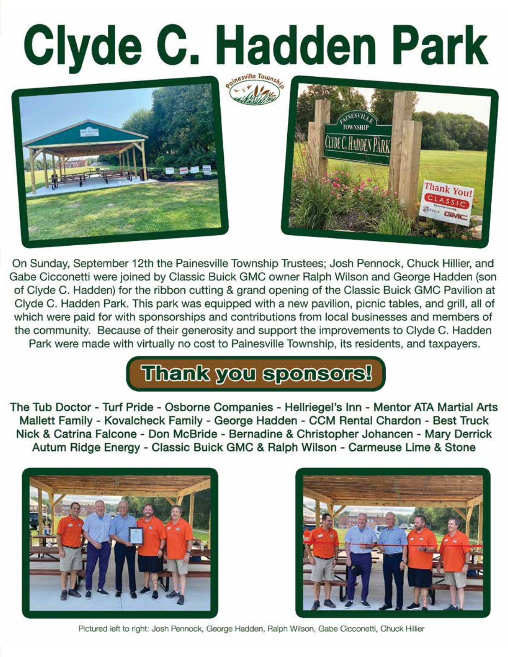# Clyde C. Hadden Park





On Sunday, September 12th the Painesville Township Trustees; Josh Pennock, Chuck Hillier, and Gabe Cicconetti were joined by Classic Buick GMC owner Ralph Wilson and George Hadden (son of Clyde C. Hadden) for the ribbon cutting & grand opening of the Classic Buick GMC Pavilion at Clyde C. Hadden Park. This park was equipped with a new pavilion, picnic tables, and grill, all of which were paid for with sponsorships and contributions from local businesses and members of the community. Because of their generosity and support the improvements to Clyde C. Hadden Park were made with virtually no cost to Painesville Township, its residents, and taxpayers.

# Thenk you sponsors!

The Tub Doctor - Turf Pride - Osborne Companies - Hellriegel's Inn - Mentor ATA Martial Arts Mallett Family - Kovalcheck Family - George Hadden - CCM Rental Chardon - Best Truck Nick & Catrina Falcone - Don McBride - Bernadine & Christopher Johancen - Mary Derrick Autum Ridge Energy - Classic Buick GMC & Ralph Wilson - Carmeuse Lime & Stone





Pictured left to right: Josh Pennock, George Hadden, Ralph Wilson, Gabe Cicconetti, Chuck Hillier